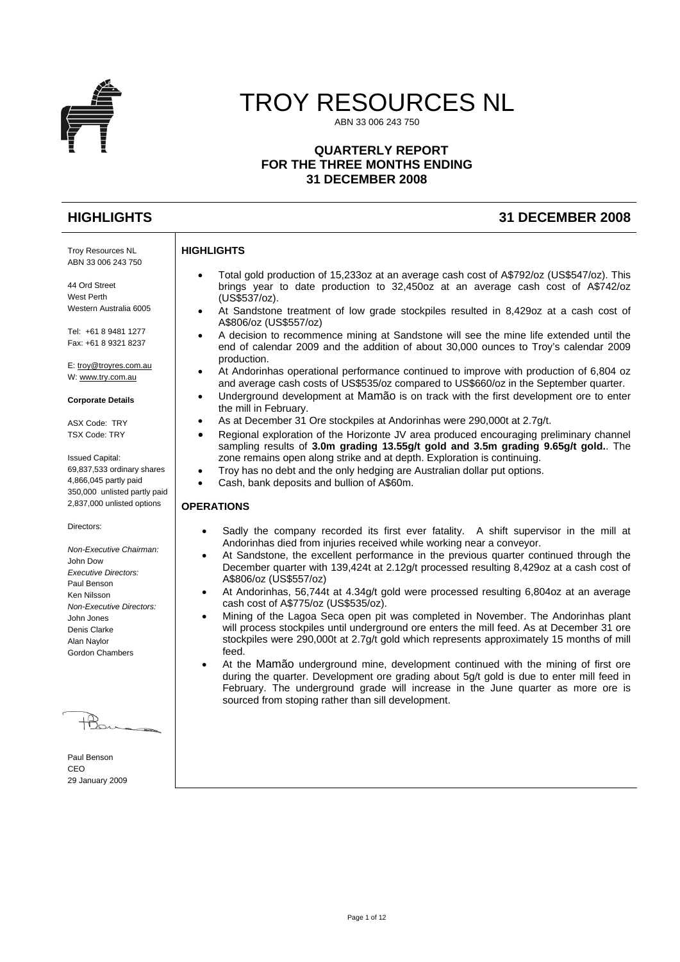

# TROY RESOURCES NL

ABN 33 006 243 750

# **QUARTERLY REPORT FOR THE THREE MONTHS ENDING 31 DECEMBER 2008**

Troy Resources NL ABN 33 006 243 750

44 Ord Street West Perth Western Australia 6005

Tel: +61 8 9481 1277 Fax: +61 8 9321 8237

E: [troy@troyres.com.au](mailto:troy@troyres.com.au) W: [www.try.com.au](http://www.try.com.au/)

#### **Corporate Details**

ASX Code: TRY TSX Code: TRY

Issued Capital: 69,837,533 ordinary shares 4,866,045 partly paid 350,000 unlisted partly paid 2,837,000 unlisted options

Directors:

*Non-Executive Chairman:*  John Dow *Executive Directors:*  Paul Benson Ken Nilsson *Non-Executive Directors:*  John Jones Denis Clarke Alan Naylor Gordon Chambers

Paul Benson CEO 29 January 2009

- Total gold production of 15,233oz at an average cash cost of A\$792/oz (US\$547/oz). This brings year to date production to 32,450oz at an average cash cost of A\$742/oz (US\$537/oz).
- At Sandstone treatment of low grade stockpiles resulted in 8,429oz at a cash cost of A\$806/oz (US\$557/oz)
- A decision to recommence mining at Sandstone will see the mine life extended until the end of calendar 2009 and the addition of about 30,000 ounces to Troy's calendar 2009 production.
- At Andorinhas operational performance continued to improve with production of 6,804 oz and average cash costs of US\$535/oz compared to US\$660/oz in the September quarter.
- Underground development at Mamão is on track with the first development ore to enter the mill in February.
- As at December 31 Ore stockpiles at Andorinhas were 290,000t at 2.7g/t.
- Regional exploration of the Horizonte JV area produced encouraging preliminary channel sampling results of **3.0m grading 13.55g/t gold and 3.5m grading 9.65g/t gold.**. The zone remains open along strike and at depth. Exploration is continuing.
- Troy has no debt and the only hedging are Australian dollar put options.
- Cash, bank deposits and bullion of A\$60m.

# **OPERATIONS**

**HIGHLIGHTS** 

- Sadly the company recorded its first ever fatality. A shift supervisor in the mill at Andorinhas died from injuries received while working near a conveyor.
- At Sandstone, the excellent performance in the previous quarter continued through the December quarter with 139,424t at 2.12g/t processed resulting 8,429oz at a cash cost of A\$806/oz (US\$557/oz)
- At Andorinhas, 56,744t at 4.34g/t gold were processed resulting 6,804oz at an average cash cost of A\$775/oz (US\$535/oz).
- Mining of the Lagoa Seca open pit was completed in November. The Andorinhas plant will process stockpiles until underground ore enters the mill feed. As at December 31 ore stockpiles were 290,000t at 2.7g/t gold which represents approximately 15 months of mill feed.
- At the Mamão underground mine, development continued with the mining of first ore during the quarter. Development ore grading about 5g/t gold is due to enter mill feed in February. The underground grade will increase in the June quarter as more ore is sourced from stoping rather than sill development.

# **HIGHLIGHTS 31 DECEMBER 2008**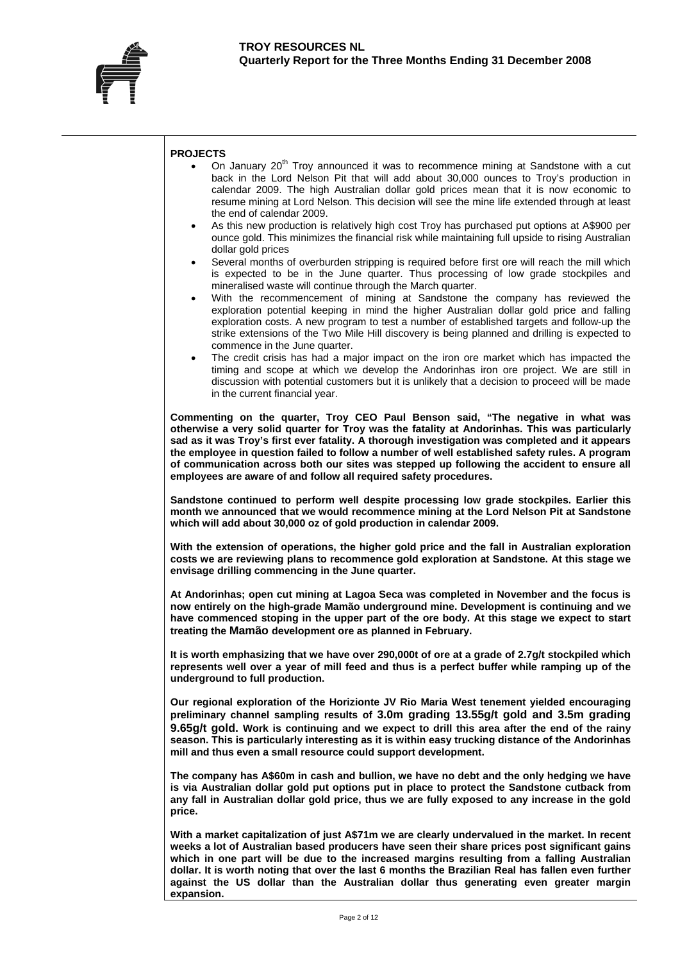

#### **PROJECTS**

- On January 20<sup>th</sup> Troy announced it was to recommence mining at Sandstone with a cut back in the Lord Nelson Pit that will add about 30,000 ounces to Troy's production in calendar 2009. The high Australian dollar gold prices mean that it is now economic to resume mining at Lord Nelson. This decision will see the mine life extended through at least the end of calendar 2009.
- As this new production is relatively high cost Troy has purchased put options at A\$900 per ounce gold. This minimizes the financial risk while maintaining full upside to rising Australian dollar gold prices
- Several months of overburden stripping is required before first ore will reach the mill which is expected to be in the June quarter. Thus processing of low grade stockpiles and mineralised waste will continue through the March quarter.
- With the recommencement of mining at Sandstone the company has reviewed the exploration potential keeping in mind the higher Australian dollar gold price and falling exploration costs. A new program to test a number of established targets and follow-up the strike extensions of the Two Mile Hill discovery is being planned and drilling is expected to commence in the June quarter.
- The credit crisis has had a major impact on the iron ore market which has impacted the timing and scope at which we develop the Andorinhas iron ore project. We are still in discussion with potential customers but it is unlikely that a decision to proceed will be made in the current financial year.

**Commenting on the quarter, Troy CEO Paul Benson said, "The negative in what was otherwise a very solid quarter for Troy was the fatality at Andorinhas. This was particularly sad as it was Troy's first ever fatality. A thorough investigation was completed and it appears the employee in question failed to follow a number of well established safety rules. A program of communication across both our sites was stepped up following the accident to ensure all employees are aware of and follow all required safety procedures.** 

**Sandstone continued to perform well despite processing low grade stockpiles. Earlier this month we announced that we would recommence mining at the Lord Nelson Pit at Sandstone which will add about 30,000 oz of gold production in calendar 2009.** 

**With the extension of operations, the higher gold price and the fall in Australian exploration costs we are reviewing plans to recommence gold exploration at Sandstone. At this stage we envisage drilling commencing in the June quarter.** 

**At Andorinhas; open cut mining at Lagoa Seca was completed in November and the focus is now entirely on the high-grade Mamão underground mine. Development is continuing and we have commenced stoping in the upper part of the ore body. At this stage we expect to start treating the Mamão development ore as planned in February.** 

**It is worth emphasizing that we have over 290,000t of ore at a grade of 2.7g/t stockpiled which represents well over a year of mill feed and thus is a perfect buffer while ramping up of the underground to full production.** 

**Our regional exploration of the Horizionte JV Rio Maria West tenement yielded encouraging preliminary channel sampling results of 3.0m grading 13.55g/t gold and 3.5m grading 9.65g/t gold. Work is continuing and we expect to drill this area after the end of the rainy season. This is particularly interesting as it is within easy trucking distance of the Andorinhas mill and thus even a small resource could support development.** 

**The company has A\$60m in cash and bullion, we have no debt and the only hedging we have is via Australian dollar gold put options put in place to protect the Sandstone cutback from any fall in Australian dollar gold price, thus we are fully exposed to any increase in the gold price.** 

**With a market capitalization of just A\$71m we are clearly undervalued in the market. In recent weeks a lot of Australian based producers have seen their share prices post significant gains which in one part will be due to the increased margins resulting from a falling Australian dollar. It is worth noting that over the last 6 months the Brazilian Real has fallen even further against the US dollar than the Australian dollar thus generating even greater margin expansion.**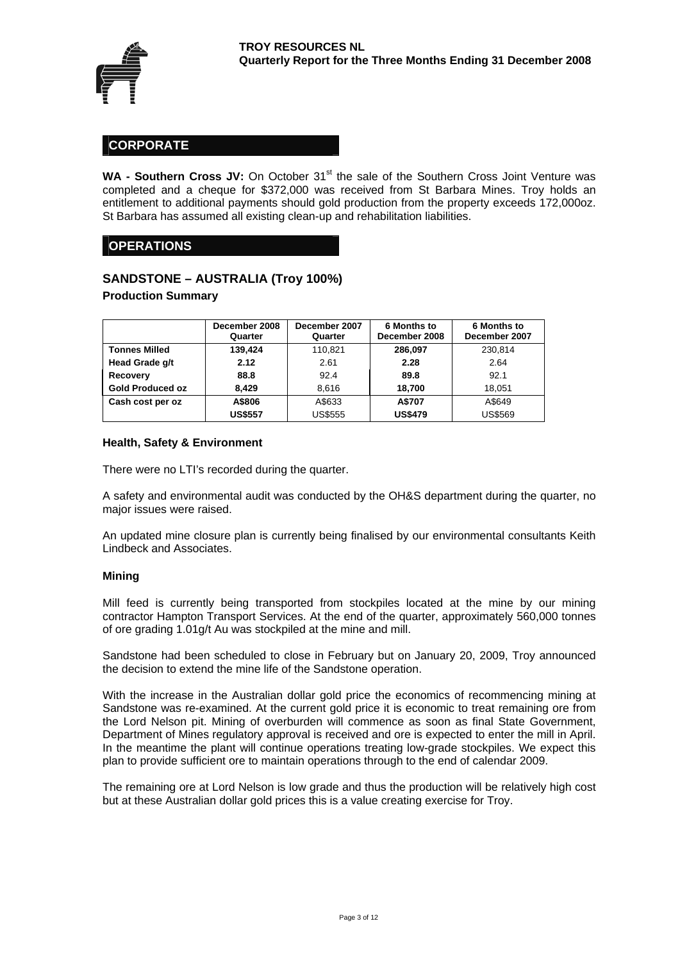

# **CORPORATE**

WA - Southern Cross JV: On October 31<sup>st</sup> the sale of the Southern Cross Joint Venture was completed and a cheque for \$372,000 was received from St Barbara Mines. Troy holds an entitlement to additional payments should gold production from the property exceeds 172,000oz. St Barbara has assumed all existing clean-up and rehabilitation liabilities.

# **OPERATIONS**

# **SANDSTONE – AUSTRALIA (Troy 100%)**

**Production Summary** 

|                         | December 2008<br>Quarter | December 2007<br>Quarter | 6 Months to<br>December 2008 | <b>6 Months to</b><br>December 2007 |
|-------------------------|--------------------------|--------------------------|------------------------------|-------------------------------------|
| <b>Tonnes Milled</b>    | 139.424                  | 110.821                  | 286.097                      | 230.814                             |
| Head Grade g/t          | 2.12                     | 2.61                     | 2.28                         | 2.64                                |
| Recovery                | 88.8                     | 92.4                     | 89.8                         | 92.1                                |
| <b>Gold Produced oz</b> | 8.429                    | 8.616                    | 18.700                       | 18.051                              |
| Cash cost per oz        | A\$806                   | A\$633                   | A\$707                       | A\$649                              |
|                         | <b>US\$557</b>           | <b>US\$555</b>           | <b>US\$479</b>               | <b>US\$569</b>                      |

#### **Health, Safety & Environment**

There were no LTI's recorded during the quarter.

A safety and environmental audit was conducted by the OH&S department during the quarter, no major issues were raised.

An updated mine closure plan is currently being finalised by our environmental consultants Keith Lindbeck and Associates.

#### **Mining**

Mill feed is currently being transported from stockpiles located at the mine by our mining contractor Hampton Transport Services. At the end of the quarter, approximately 560,000 tonnes of ore grading 1.01g/t Au was stockpiled at the mine and mill.

Sandstone had been scheduled to close in February but on January 20, 2009, Troy announced the decision to extend the mine life of the Sandstone operation.

With the increase in the Australian dollar gold price the economics of recommencing mining at Sandstone was re-examined. At the current gold price it is economic to treat remaining ore from the Lord Nelson pit. Mining of overburden will commence as soon as final State Government, Department of Mines regulatory approval is received and ore is expected to enter the mill in April. In the meantime the plant will continue operations treating low-grade stockpiles. We expect this plan to provide sufficient ore to maintain operations through to the end of calendar 2009.

The remaining ore at Lord Nelson is low grade and thus the production will be relatively high cost but at these Australian dollar gold prices this is a value creating exercise for Troy.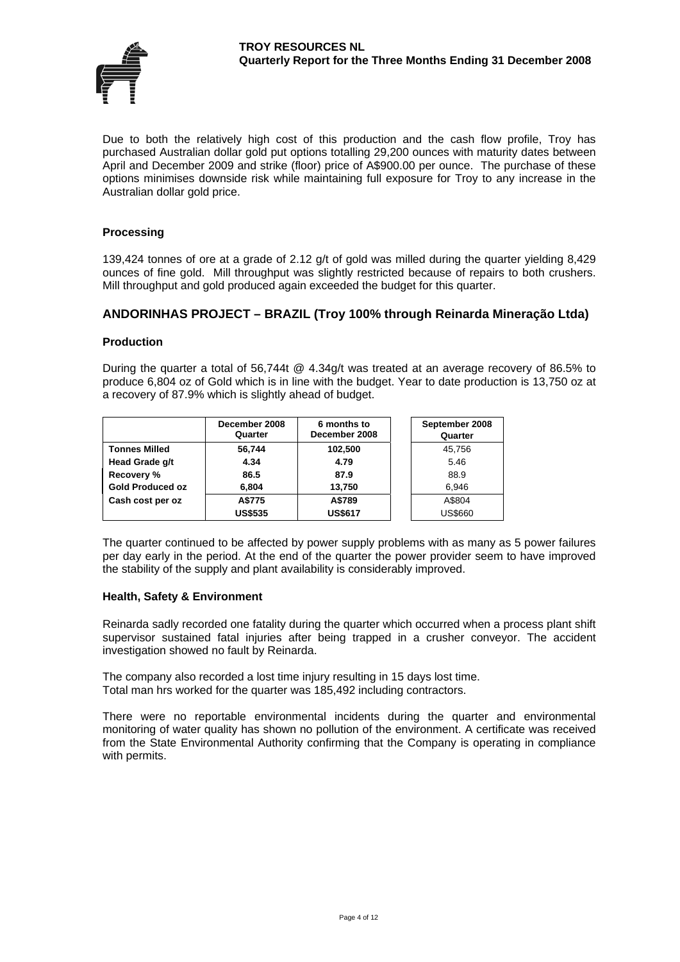

Due to both the relatively high cost of this production and the cash flow profile, Troy has purchased Australian dollar gold put options totalling 29,200 ounces with maturity dates between April and December 2009 and strike (floor) price of A\$900.00 per ounce. The purchase of these options minimises downside risk while maintaining full exposure for Troy to any increase in the Australian dollar gold price.

#### **Processing**

139,424 tonnes of ore at a grade of 2.12 g/t of gold was milled during the quarter yielding 8,429 ounces of fine gold. Mill throughput was slightly restricted because of repairs to both crushers. Mill throughput and gold produced again exceeded the budget for this quarter.

# **ANDORINHAS PROJECT – BRAZIL (Troy 100% through Reinarda Mineração Ltda)**

#### **Production**

During the quarter a total of 56,744t @ 4.34g/t was treated at an average recovery of 86.5% to produce 6,804 oz of Gold which is in line with the budget. Year to date production is 13,750 oz at a recovery of 87.9% which is slightly ahead of budget.

|                         | December 2008<br>Quarter | 6 months to<br>December 2008 | September 2008<br>Quarter |
|-------------------------|--------------------------|------------------------------|---------------------------|
| <b>Tonnes Milled</b>    | 56,744                   | 102,500                      | 45,756                    |
| Head Grade g/t          | 4.34                     | 4.79                         | 5.46                      |
| Recovery %              | 86.5                     | 87.9                         | 88.9                      |
| <b>Gold Produced oz</b> | 6.804                    | 13.750                       | 6.946                     |
| Cash cost per oz        | A\$775                   | A\$789                       | A\$804                    |
|                         | <b>US\$535</b>           | <b>US\$617</b>               | <b>US\$660</b>            |

The quarter continued to be affected by power supply problems with as many as 5 power failures per day early in the period. At the end of the quarter the power provider seem to have improved the stability of the supply and plant availability is considerably improved.

#### **Health, Safety & Environment**

Reinarda sadly recorded one fatality during the quarter which occurred when a process plant shift supervisor sustained fatal injuries after being trapped in a crusher conveyor. The accident investigation showed no fault by Reinarda.

The company also recorded a lost time injury resulting in 15 days lost time. Total man hrs worked for the quarter was 185,492 including contractors.

There were no reportable environmental incidents during the quarter and environmental monitoring of water quality has shown no pollution of the environment. A certificate was received from the State Environmental Authority confirming that the Company is operating in compliance with permits.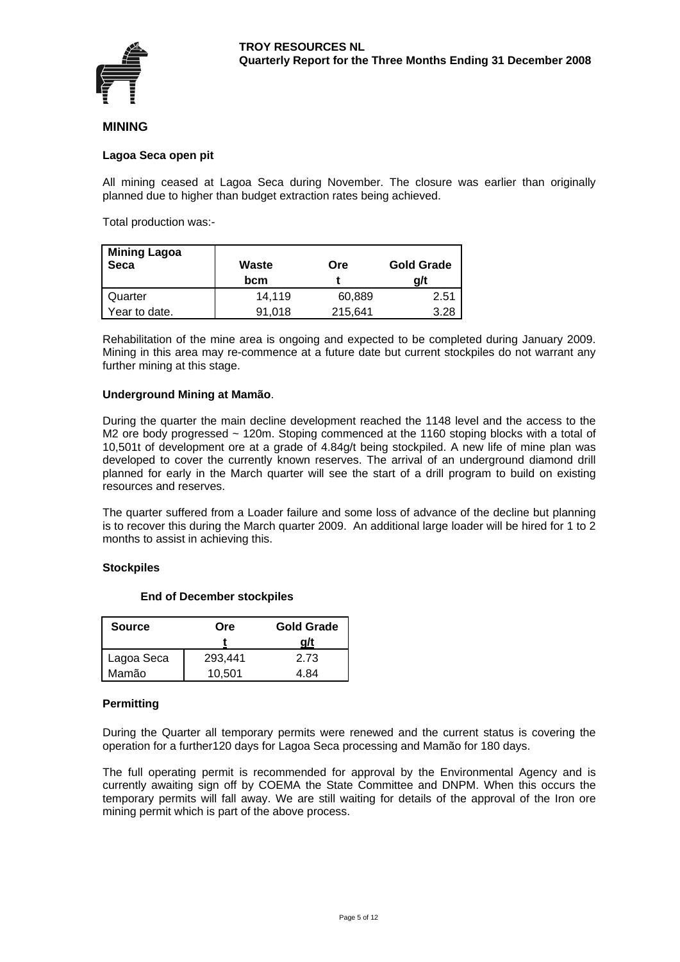

# **MINING**

#### **Lagoa Seca open pit**

All mining ceased at Lagoa Seca during November. The closure was earlier than originally planned due to higher than budget extraction rates being achieved.

Total production was:-

| <b>Mining Lagoa</b><br>Seca | Waste<br>bcm | Ore     | <b>Gold Grade</b><br>a/t |
|-----------------------------|--------------|---------|--------------------------|
| Quarter                     | 14.119       | 60,889  | 2.51                     |
| Year to date.               | 91.018       | 215,641 | 3.28                     |

Rehabilitation of the mine area is ongoing and expected to be completed during January 2009. Mining in this area may re-commence at a future date but current stockpiles do not warrant any further mining at this stage.

#### **Underground Mining at Mamão**.

During the quarter the main decline development reached the 1148 level and the access to the M2 ore body progressed ~ 120m. Stoping commenced at the 1160 stoping blocks with a total of 10,501t of development ore at a grade of 4.84g/t being stockpiled. A new life of mine plan was developed to cover the currently known reserves. The arrival of an underground diamond drill planned for early in the March quarter will see the start of a drill program to build on existing resources and reserves.

The quarter suffered from a Loader failure and some loss of advance of the decline but planning is to recover this during the March quarter 2009. An additional large loader will be hired for 1 to 2 months to assist in achieving this.

#### **Stockpiles**

| <b>Source</b> | Ore     | <b>Gold Grade</b><br>a/t |
|---------------|---------|--------------------------|
| Lagoa Seca    | 293,441 | 2.73                     |
| Mamão         | 10,501  | 4 84                     |

# **End of December stockpiles**

# **Permitting**

During the Quarter all temporary permits were renewed and the current status is covering the operation for a further120 days for Lagoa Seca processing and Mamão for 180 days.

The full operating permit is recommended for approval by the Environmental Agency and is currently awaiting sign off by COEMA the State Committee and DNPM. When this occurs the temporary permits will fall away. We are still waiting for details of the approval of the Iron ore mining permit which is part of the above process.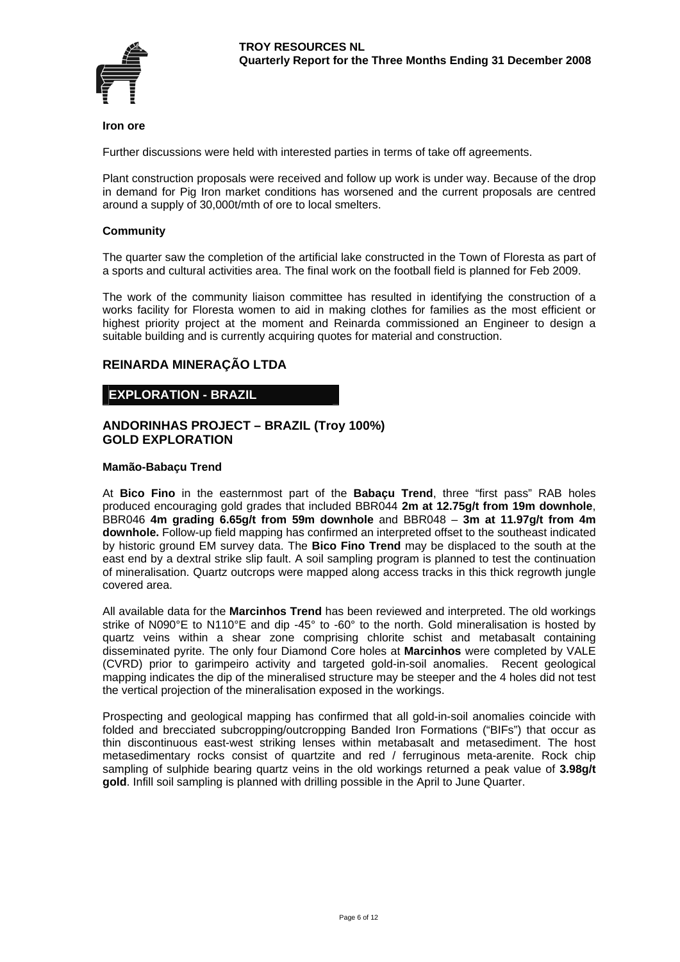

#### **Iron ore**

Further discussions were held with interested parties in terms of take off agreements.

Plant construction proposals were received and follow up work is under way. Because of the drop in demand for Pig Iron market conditions has worsened and the current proposals are centred around a supply of 30,000t/mth of ore to local smelters.

# **Community**

The quarter saw the completion of the artificial lake constructed in the Town of Floresta as part of a sports and cultural activities area. The final work on the football field is planned for Feb 2009.

The work of the community liaison committee has resulted in identifying the construction of a works facility for Floresta women to aid in making clothes for families as the most efficient or highest priority project at the moment and Reinarda commissioned an Engineer to design a suitable building and is currently acquiring quotes for material and construction.

# **REINARDA MINERAÇÃO LTDA**

# **EXPLORATION - BRAZIL**

#### **ANDORINHAS PROJECT – BRAZIL (Troy 100%) GOLD EXPLORATION**

#### **Mamão-Babaçu Trend**

At **Bico Fino** in the easternmost part of the **Babaçu Trend**, three "first pass" RAB holes produced encouraging gold grades that included BBR044 **2m at 12.75g/t from 19m downhole**, BBR046 **4m grading 6.65g/t from 59m downhole** and BBR048 – **3m at 11.97g/t from 4m downhole.** Follow-up field mapping has confirmed an interpreted offset to the southeast indicated by historic ground EM survey data. The **Bico Fino Trend** may be displaced to the south at the east end by a dextral strike slip fault. A soil sampling program is planned to test the continuation of mineralisation. Quartz outcrops were mapped along access tracks in this thick regrowth jungle covered area.

All available data for the **Marcinhos Trend** has been reviewed and interpreted. The old workings strike of N090°E to N110°E and dip -45° to -60° to the north. Gold mineralisation is hosted by quartz veins within a shear zone comprising chlorite schist and metabasalt containing disseminated pyrite. The only four Diamond Core holes at **Marcinhos** were completed by VALE (CVRD) prior to garimpeiro activity and targeted gold-in-soil anomalies. Recent geological mapping indicates the dip of the mineralised structure may be steeper and the 4 holes did not test the vertical projection of the mineralisation exposed in the workings.

Prospecting and geological mapping has confirmed that all gold-in-soil anomalies coincide with folded and brecciated subcropping/outcropping Banded Iron Formations ("BIFs") that occur as thin discontinuous east-west striking lenses within metabasalt and metasediment. The host metasedimentary rocks consist of quartzite and red / ferruginous meta-arenite. Rock chip sampling of sulphide bearing quartz veins in the old workings returned a peak value of **3.98g/t gold**. Infill soil sampling is planned with drilling possible in the April to June Quarter.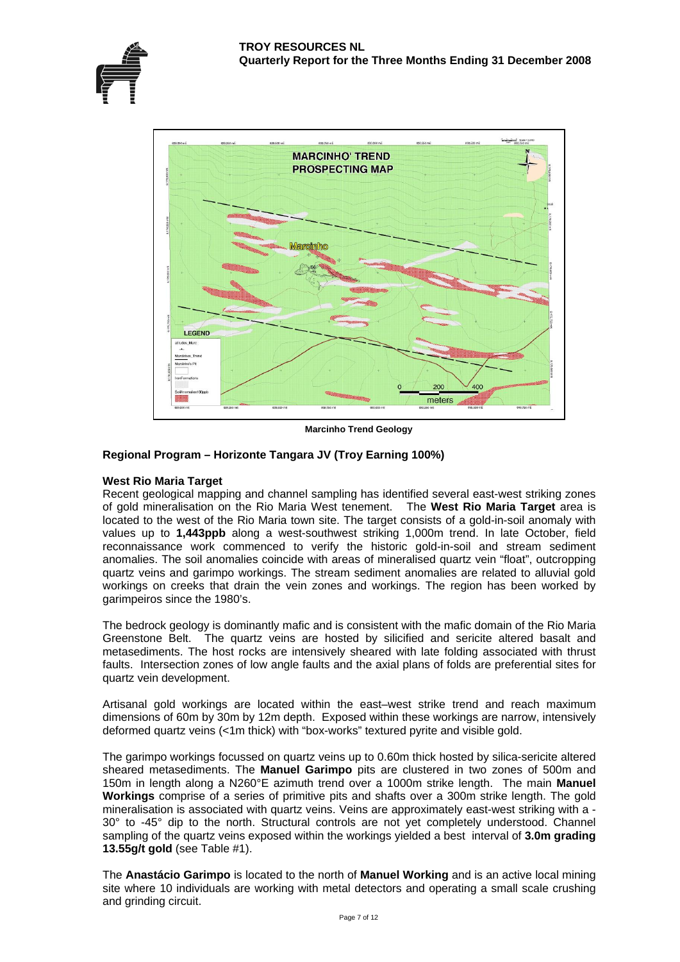

**Marcinho Trend Geology** 

# **Regional Program – Horizonte Tangara JV (Troy Earning 100%)**

#### **West Rio Maria Target**

Recent geological mapping and channel sampling has identified several east-west striking zones of gold mineralisation on the Rio Maria West tenement. The **West Rio Maria Target** area is located to the west of the Rio Maria town site. The target consists of a gold-in-soil anomaly with values up to **1,443ppb** along a west-southwest striking 1,000m trend. In late October, field reconnaissance work commenced to verify the historic gold-in-soil and stream sediment anomalies. The soil anomalies coincide with areas of mineralised quartz vein "float", outcropping quartz veins and garimpo workings. The stream sediment anomalies are related to alluvial gold workings on creeks that drain the vein zones and workings. The region has been worked by garimpeiros since the 1980's.

The bedrock geology is dominantly mafic and is consistent with the mafic domain of the Rio Maria Greenstone Belt. The quartz veins are hosted by silicified and sericite altered basalt and metasediments. The host rocks are intensively sheared with late folding associated with thrust faults. Intersection zones of low angle faults and the axial plans of folds are preferential sites for quartz vein development.

Artisanal gold workings are located within the east–west strike trend and reach maximum dimensions of 60m by 30m by 12m depth. Exposed within these workings are narrow, intensively deformed quartz veins (<1m thick) with "box-works" textured pyrite and visible gold.

The garimpo workings focussed on quartz veins up to 0.60m thick hosted by silica-sericite altered sheared metasediments. The **Manuel Garimpo** pits are clustered in two zones of 500m and 150m in length along a N260°E azimuth trend over a 1000m strike length. The main **Manuel Workings** comprise of a series of primitive pits and shafts over a 300m strike length. The gold mineralisation is associated with quartz veins. Veins are approximately east-west striking with a - 30° to -45° dip to the north. Structural controls are not yet completely understood. Channel sampling of the quartz veins exposed within the workings yielded a best interval of **3.0m grading 13.55g/t gold** (see Table #1).

The **Anastácio Garimpo** is located to the north of **Manuel Working** and is an active local mining site where 10 individuals are working with metal detectors and operating a small scale crushing and grinding circuit.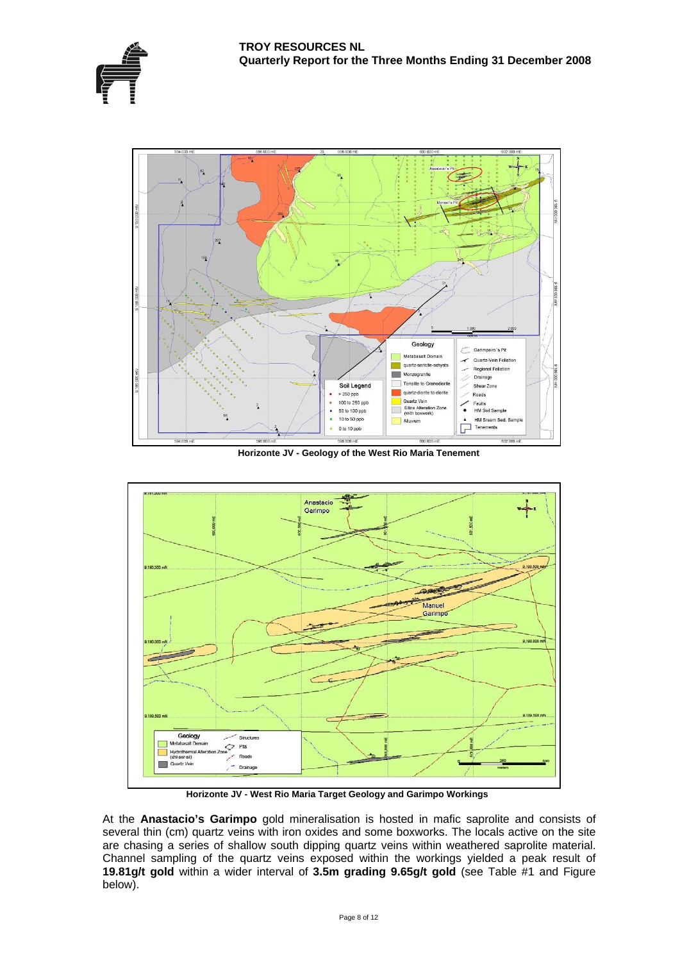





**Horizonte JV - Geology of the West Rio Maria Tenement** 



 **Horizonte JV - West Rio Maria Target Geology and Garimpo Workings** 

At the **Anastacio's Garimpo** gold mineralisation is hosted in mafic saprolite and consists of several thin (cm) quartz veins with iron oxides and some boxworks. The locals active on the site are chasing a series of shallow south dipping quartz veins within weathered saprolite material. Channel sampling of the quartz veins exposed within the workings yielded a peak result of **19.81g/t gold** within a wider interval of **3.5m grading 9.65g/t gold** (see Table #1 and Figure below).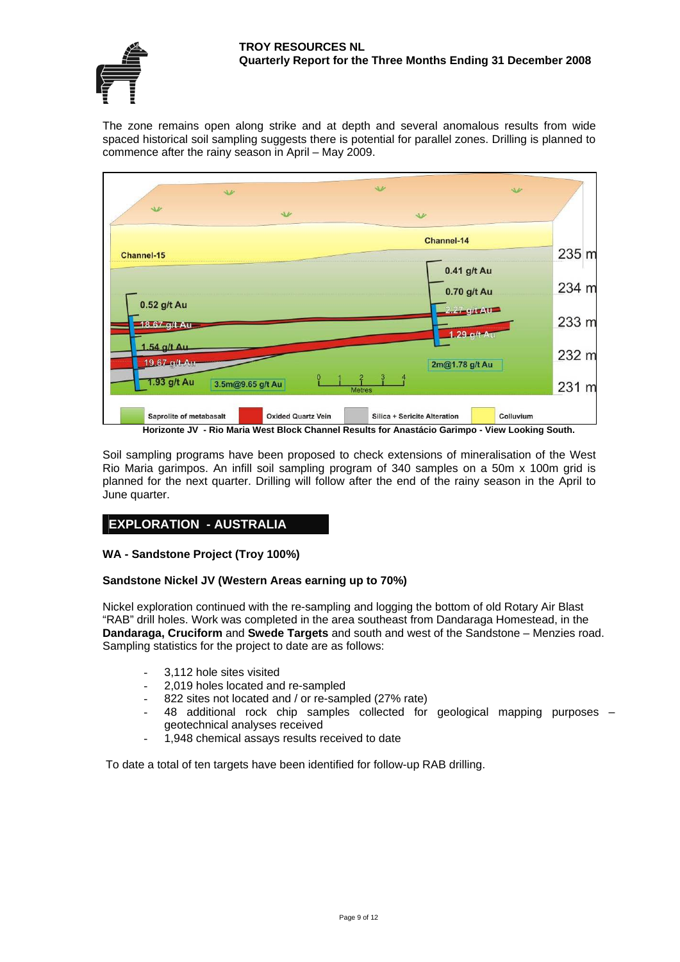#### **TROY RESOURCES NL Quarterly Report for the Three Months Ending 31 December 2008**



The zone remains open along strike and at depth and several anomalous results from wide spaced historical soil sampling suggests there is potential for parallel zones. Drilling is planned to commence after the rainy season in April – May 2009.



Soil sampling programs have been proposed to check extensions of mineralisation of the West Rio Maria garimpos. An infill soil sampling program of 340 samples on a 50m x 100m grid is planned for the next quarter. Drilling will follow after the end of the rainy season in the April to June quarter.

# **EXPLORATION - AUSTRALIA**

# **WA - Sandstone Project (Troy 100%)**

# **Sandstone Nickel JV (Western Areas earning up to 70%)**

Nickel exploration continued with the re-sampling and logging the bottom of old Rotary Air Blast "RAB" drill holes. Work was completed in the area southeast from Dandaraga Homestead, in the **Dandaraga, Cruciform** and **Swede Targets** and south and west of the Sandstone – Menzies road. Sampling statistics for the project to date are as follows:

- 3,112 hole sites visited
- 2,019 holes located and re-sampled
- 822 sites not located and / or re-sampled (27% rate)
- 48 additional rock chip samples collected for geological mapping purposes geotechnical analyses received
- 1,948 chemical assays results received to date

To date a total of ten targets have been identified for follow-up RAB drilling.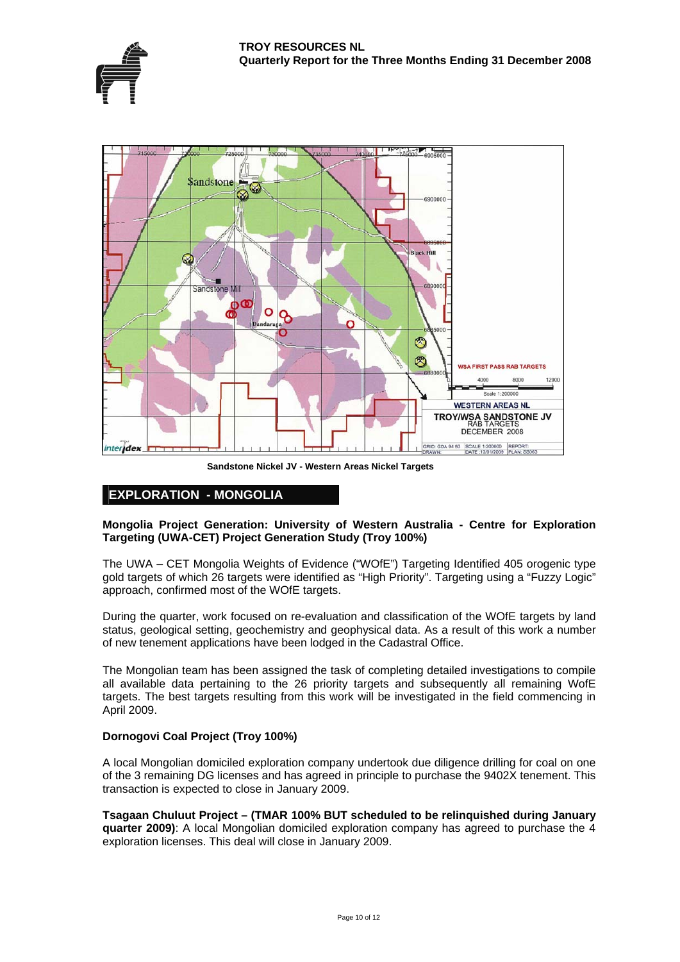



**Sandstone Nickel JV - Western Areas Nickel Targets**

# **EXPLORATION - MONGOLIA**

# **Mongolia Project Generation: University of Western Australia - Centre for Exploration Targeting (UWA-CET) Project Generation Study (Troy 100%)**

The UWA – CET Mongolia Weights of Evidence ("WOfE") Targeting Identified 405 orogenic type gold targets of which 26 targets were identified as "High Priority". Targeting using a "Fuzzy Logic" approach, confirmed most of the WOfE targets.

During the quarter, work focused on re-evaluation and classification of the WOfE targets by land status, geological setting, geochemistry and geophysical data. As a result of this work a number of new tenement applications have been lodged in the Cadastral Office.

The Mongolian team has been assigned the task of completing detailed investigations to compile all available data pertaining to the 26 priority targets and subsequently all remaining WofE targets. The best targets resulting from this work will be investigated in the field commencing in April 2009.

# **Dornogovi Coal Project (Troy 100%)**

A local Mongolian domiciled exploration company undertook due diligence drilling for coal on one of the 3 remaining DG licenses and has agreed in principle to purchase the 9402X tenement. This transaction is expected to close in January 2009.

**Tsagaan Chuluut Project – (TMAR 100% BUT scheduled to be relinquished during January quarter 2009)**: A local Mongolian domiciled exploration company has agreed to purchase the 4 exploration licenses. This deal will close in January 2009.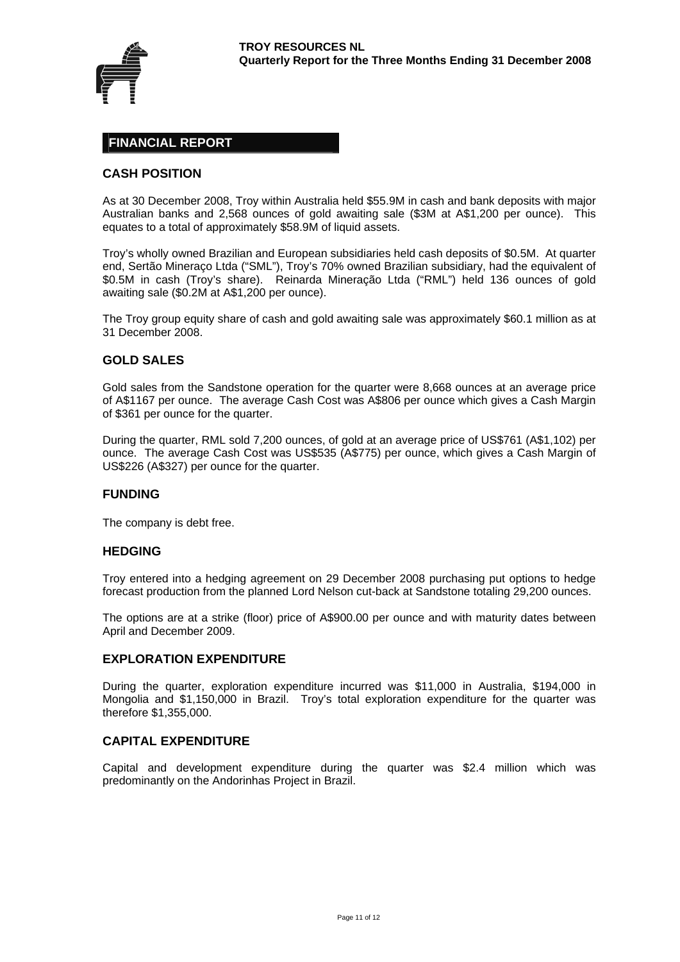

# **FINANCIAL REPORT**

# **CASH POSITION**

As at 30 December 2008, Troy within Australia held \$55.9M in cash and bank deposits with major Australian banks and 2,568 ounces of gold awaiting sale (\$3M at A\$1,200 per ounce). This equates to a total of approximately \$58.9M of liquid assets.

Troy's wholly owned Brazilian and European subsidiaries held cash deposits of \$0.5M. At quarter end, Sertão Mineraço Ltda ("SML"), Troy's 70% owned Brazilian subsidiary, had the equivalent of \$0.5M in cash (Troy's share). Reinarda Mineração Ltda ("RML") held 136 ounces of gold awaiting sale (\$0.2M at A\$1,200 per ounce).

The Troy group equity share of cash and gold awaiting sale was approximately \$60.1 million as at 31 December 2008.

# **GOLD SALES**

Gold sales from the Sandstone operation for the quarter were 8,668 ounces at an average price of A\$1167 per ounce. The average Cash Cost was A\$806 per ounce which gives a Cash Margin of \$361 per ounce for the quarter.

During the quarter, RML sold 7,200 ounces, of gold at an average price of US\$761 (A\$1,102) per ounce. The average Cash Cost was US\$535 (A\$775) per ounce, which gives a Cash Margin of US\$226 (A\$327) per ounce for the quarter.

#### **FUNDING**

The company is debt free.

#### **HEDGING**

Troy entered into a hedging agreement on 29 December 2008 purchasing put options to hedge forecast production from the planned Lord Nelson cut-back at Sandstone totaling 29,200 ounces.

The options are at a strike (floor) price of A\$900.00 per ounce and with maturity dates between April and December 2009.

# **EXPLORATION EXPENDITURE**

During the quarter, exploration expenditure incurred was \$11,000 in Australia, \$194,000 in Mongolia and \$1,150,000 in Brazil. Troy's total exploration expenditure for the quarter was therefore \$1,355,000.

# **CAPITAL EXPENDITURE**

Capital and development expenditure during the quarter was \$2.4 million which was predominantly on the Andorinhas Project in Brazil.